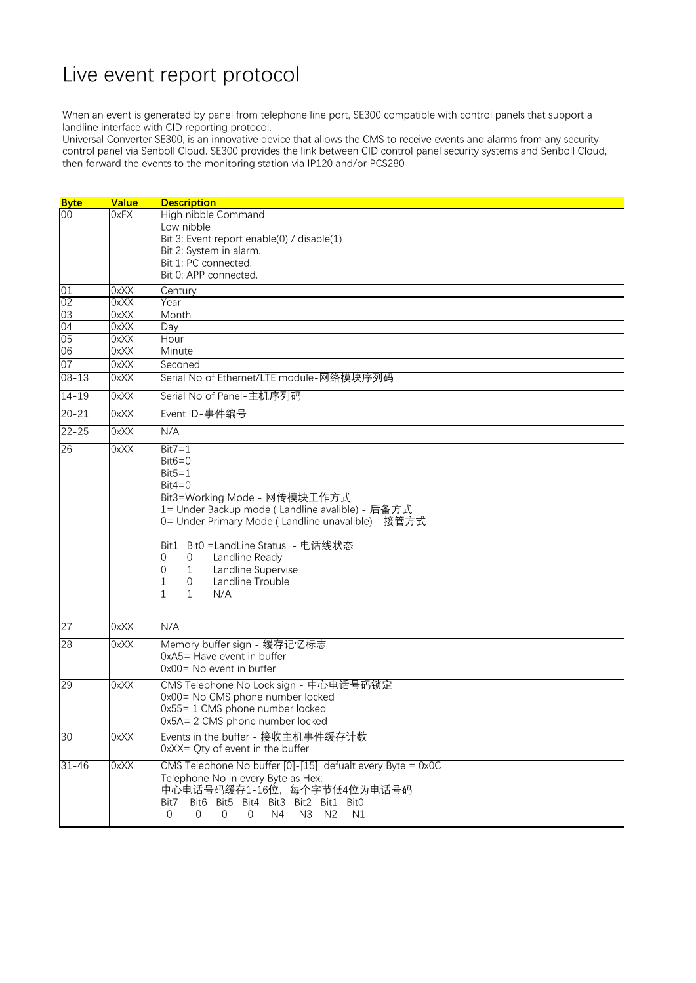## Live event report protocol

When an event is generated by panel from telephone line port, SE300 compatible with control panels that support a landline interface with CID reporting protocol.

Universal Converter SE300, is an innovative device that allows the CMS to receive events and alarms from any security control panel via Senboll Cloud. SE300 provides the link between CID control panel security systems and Senboll Cloud, then forward the events to the monitoring station via IP120 and/or PCS280

| Century                                                                                                                                                                                                                                                                                                                                                                                                                                                                                                                                                           |  |  |
|-------------------------------------------------------------------------------------------------------------------------------------------------------------------------------------------------------------------------------------------------------------------------------------------------------------------------------------------------------------------------------------------------------------------------------------------------------------------------------------------------------------------------------------------------------------------|--|--|
| Year                                                                                                                                                                                                                                                                                                                                                                                                                                                                                                                                                              |  |  |
| Month                                                                                                                                                                                                                                                                                                                                                                                                                                                                                                                                                             |  |  |
| Day                                                                                                                                                                                                                                                                                                                                                                                                                                                                                                                                                               |  |  |
| Hour                                                                                                                                                                                                                                                                                                                                                                                                                                                                                                                                                              |  |  |
| Minute                                                                                                                                                                                                                                                                                                                                                                                                                                                                                                                                                            |  |  |
| Seconed                                                                                                                                                                                                                                                                                                                                                                                                                                                                                                                                                           |  |  |
| Serial No of Ethernet/LTE module-网络模块序列码                                                                                                                                                                                                                                                                                                                                                                                                                                                                                                                          |  |  |
| Serial No of Panel-主机序列码                                                                                                                                                                                                                                                                                                                                                                                                                                                                                                                                          |  |  |
| Event ID-事件编号                                                                                                                                                                                                                                                                                                                                                                                                                                                                                                                                                     |  |  |
|                                                                                                                                                                                                                                                                                                                                                                                                                                                                                                                                                                   |  |  |
|                                                                                                                                                                                                                                                                                                                                                                                                                                                                                                                                                                   |  |  |
|                                                                                                                                                                                                                                                                                                                                                                                                                                                                                                                                                                   |  |  |
|                                                                                                                                                                                                                                                                                                                                                                                                                                                                                                                                                                   |  |  |
|                                                                                                                                                                                                                                                                                                                                                                                                                                                                                                                                                                   |  |  |
|                                                                                                                                                                                                                                                                                                                                                                                                                                                                                                                                                                   |  |  |
|                                                                                                                                                                                                                                                                                                                                                                                                                                                                                                                                                                   |  |  |
|                                                                                                                                                                                                                                                                                                                                                                                                                                                                                                                                                                   |  |  |
|                                                                                                                                                                                                                                                                                                                                                                                                                                                                                                                                                                   |  |  |
|                                                                                                                                                                                                                                                                                                                                                                                                                                                                                                                                                                   |  |  |
|                                                                                                                                                                                                                                                                                                                                                                                                                                                                                                                                                                   |  |  |
|                                                                                                                                                                                                                                                                                                                                                                                                                                                                                                                                                                   |  |  |
|                                                                                                                                                                                                                                                                                                                                                                                                                                                                                                                                                                   |  |  |
|                                                                                                                                                                                                                                                                                                                                                                                                                                                                                                                                                                   |  |  |
|                                                                                                                                                                                                                                                                                                                                                                                                                                                                                                                                                                   |  |  |
| N/A<br>Memory buffer sign - 缓存记忆标志                                                                                                                                                                                                                                                                                                                                                                                                                                                                                                                                |  |  |
|                                                                                                                                                                                                                                                                                                                                                                                                                                                                                                                                                                   |  |  |
|                                                                                                                                                                                                                                                                                                                                                                                                                                                                                                                                                                   |  |  |
|                                                                                                                                                                                                                                                                                                                                                                                                                                                                                                                                                                   |  |  |
|                                                                                                                                                                                                                                                                                                                                                                                                                                                                                                                                                                   |  |  |
|                                                                                                                                                                                                                                                                                                                                                                                                                                                                                                                                                                   |  |  |
|                                                                                                                                                                                                                                                                                                                                                                                                                                                                                                                                                                   |  |  |
|                                                                                                                                                                                                                                                                                                                                                                                                                                                                                                                                                                   |  |  |
|                                                                                                                                                                                                                                                                                                                                                                                                                                                                                                                                                                   |  |  |
|                                                                                                                                                                                                                                                                                                                                                                                                                                                                                                                                                                   |  |  |
|                                                                                                                                                                                                                                                                                                                                                                                                                                                                                                                                                                   |  |  |
|                                                                                                                                                                                                                                                                                                                                                                                                                                                                                                                                                                   |  |  |
|                                                                                                                                                                                                                                                                                                                                                                                                                                                                                                                                                                   |  |  |
|                                                                                                                                                                                                                                                                                                                                                                                                                                                                                                                                                                   |  |  |
|                                                                                                                                                                                                                                                                                                                                                                                                                                                                                                                                                                   |  |  |
| 0xA5= Have event in buffer<br>$0x00 = No$ event in buffer<br>CMS Telephone No Lock sign - 中心电话号码锁定<br>0x00= No CMS phone number locked<br>0x55= 1 CMS phone number locked<br>$0x5A = 2$ CMS phone number locked<br>Events in the buffer - 接收主机事件缓存计数<br>0xXX= Qty of event in the buffer<br>CMS Telephone No buffer $[0]-[15]$ defualt every Byte = 0x0C<br>Telephone No in every Byte as Hex:<br>中心电话号码缓存1-16位,每个字节低4位为电话号码<br>Bit6 Bit5 Bit4 Bit3 Bit2 Bit1 Bit0<br>Bit7<br>N3 N2<br>$\overline{0}$<br>$\Omega$<br>$\overline{0}$<br>$\overline{0}$<br>N4<br>N1 |  |  |